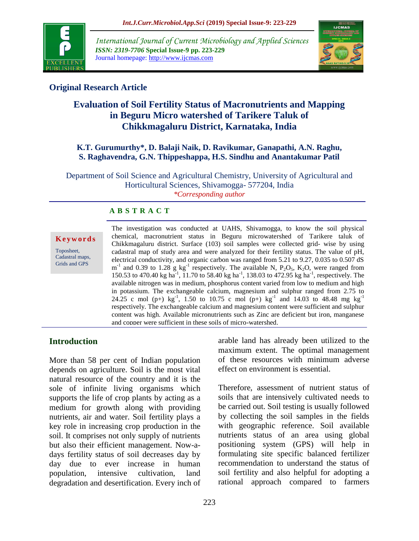

*International Journal of Current Microbiology and Applied Sciences ISSN: 2319-7706* **Special Issue-9 pp. 223-229** Journal homepage: http://www.ijcmas.com



# **Original Research Article**

# **Evaluation of Soil Fertility Status of Macronutrients and Mapping in Beguru Micro watershed of Tarikere Taluk of Chikkmagaluru District, Karnataka, India**

## **K.T. Gurumurthy\*, D. Balaji Naik, D. Ravikumar, Ganapathi, A.N. Raghu, S. Raghavendra, G.N. Thippeshappa, H.S. Sindhu and Anantakumar Patil**

Department of Soil Science and Agricultural Chemistry, University of Agricultural and Horticultural Sciences, Shivamogga- 577204, India *\*Corresponding author*

# **A B S T R A C T**

#### **K e y w o r d s**

Toposheet, Cadastral maps, Grids and GPS

The investigation was conducted at UAHS, Shivamogga, to know the soil physical chemical, macronutrient status in Beguru microwatershed of Tarikere taluk of Chikkmagaluru district. Surface (103) soil samples were collected grid- wise by using cadastral map of study area and were analyzed for their fertility status. The value of pH, electrical conductivity, and organic carbon was ranged from 5.21 to 9.27, 0.035 to 0.507 dS  $m^{-1}$  and 0.39 to 1.28 g kg<sup>-1</sup> respectively. The available N, P<sub>2</sub>O<sub>5</sub>, K<sub>2</sub>O, were ranged from 150.53 to 470.40 kg ha<sup>-1</sup>, 11.70 to 58.40 kg ha<sup>-1</sup>, 138.03 to 472.95 kg ha<sup>-1</sup>, respectively. The available nitrogen was in medium, phosphorus content varied from low to medium and high in potassium. The exchangeable calcium, magnesium and sulphur ranged from 2.75 to 24.25 c mol (p+)  $kg^{-1}$ , 1.50 to 10.75 c mol (p+)  $kg^{-1}$  and 14.03 to 48.48 mg  $kg^{-1}$ respectively. The exchangeable calcium and magnesium content were sufficient and sulphur content was high. Available micronutrients such as Zinc are deficient but iron, manganese and copper were sufficient in these soils of micro-watershed.

# **Introduction**

More than 58 per cent of Indian population depends on agriculture. Soil is the most vital natural resource of the country and it is the sole of infinite living organisms which supports the life of crop plants by acting as a medium for growth along with providing nutrients, air and water. Soil fertility plays a key role in increasing crop production in the soil. It comprises not only supply of nutrients but also their efficient management. Now-adays fertility status of soil decreases day by day due to ever increase in human population, intensive cultivation, land degradation and desertification. Every inch of arable land has already been utilized to the maximum extent. The optimal management of these resources with minimum adverse effect on environment is essential.

Therefore, assessment of nutrient status of soils that are intensively cultivated needs to be carried out. Soil testing is usually followed by collecting the soil samples in the fields with geographic reference. Soil available nutrients status of an area using global positioning system (GPS) will help in formulating site specific balanced fertilizer recommendation to understand the status of soil fertility and also helpful for adopting a rational approach compared to farmers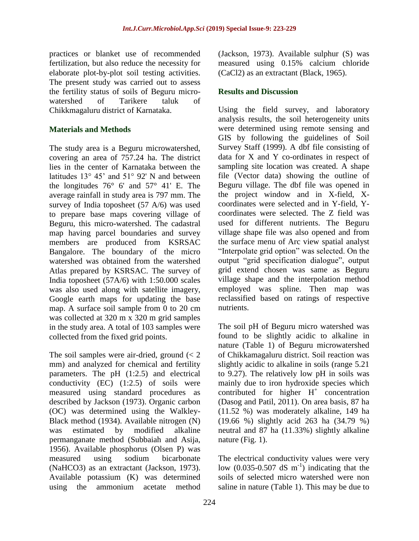practices or blanket use of recommended fertilization, but also reduce the necessity for elaborate plot-by-plot soil testing activities. The present study was carried out to assess the fertility status of soils of Beguru microwatershed of Tarikere taluk of Chikkmagaluru district of Karnataka.

#### **Materials and Methods**

The study area is a Beguru microwatershed, covering an area of 757.24 ha. The district lies in the center of Karnataka between the latitudes 13° 45' and 51° 92' N and between the longitudes 76° 6' and 57° 41' E. The average rainfall in study area is 797 mm. The survey of India toposheet (57 A/6) was used to prepare base maps covering village of Beguru, this micro-watershed. The cadastral map having parcel boundaries and survey members are produced from KSRSAC Bangalore. The boundary of the micro watershed was obtained from the watershed Atlas prepared by KSRSAC. The survey of India toposheet (57A/6) with 1:50.000 scales was also used along with satellite imagery, Google earth maps for updating the base map. A surface soil sample from 0 to 20 cm was collected at 320 m x 320 m grid samples in the study area. A total of 103 samples were collected from the fixed grid points.

The soil samples were air-dried, ground  $\ll 2$ mm) and analyzed for chemical and fertility parameters. The pH (1:2.5) and electrical conductivity (EC) (1:2.5) of soils were measured using standard procedures as described by Jackson (1973). Organic carbon (OC) was determined using the Walkley-Black method (1934). Available nitrogen (N) was estimated by modified alkaline permanganate method (Subbaiah and Asija, 1956). Available phosphorus (Olsen P) was measured using sodium bicarbonate (NaHCO3) as an extractant (Jackson, 1973). Available potassium (K) was determined using the ammonium acetate method

(Jackson, 1973). Available sulphur (S) was measured using 0.15% calcium chloride (CaCl2) as an extractant (Black, 1965).

## **Results and Discussion**

Using the field survey, and laboratory analysis results, the soil heterogeneity units were determined using remote sensing and GIS by following the guidelines of Soil Survey Staff (1999). A dbf file consisting of data for X and Y co-ordinates in respect of sampling site location was created. A shape file (Vector data) showing the outline of Beguru village. The dbf file was opened in the project window and in X-field, Xcoordinates were selected and in Y-field, Ycoordinates were selected. The Z field was used for different nutrients. The Beguru village shape file was also opened and from the surface menu of Arc view spatial analyst "Interpolate grid option" was selected. On the output "grid specification dialogue", output grid extend chosen was same as Beguru village shape and the interpolation method employed was spline. Then map was reclassified based on ratings of respective nutrients.

The soil pH of Beguru micro watershed was found to be slightly acidic to alkaline in nature (Table 1) of Beguru microwatershed of Chikkamagaluru district. Soil reaction was slightly acidic to alkaline in soils (range 5.21 to 9.27). The relatively low pH in soils was mainly due to iron hydroxide species which contributed for higher  $H^+$  concentration (Dasog and Patil, 2011). On area basis, 87 ha (11.52 %) was moderately alkaline, 149 ha (19.66 %) slightly acid 263 ha (34.79 %) neutral and 87 ha (11.33%) slightly alkaline nature (Fig. 1).

The electrical conductivity values were very low  $(0.035-0.507 \text{ dS m}^{-1})$  indicating that the soils of selected micro watershed were non saline in nature (Table 1). This may be due to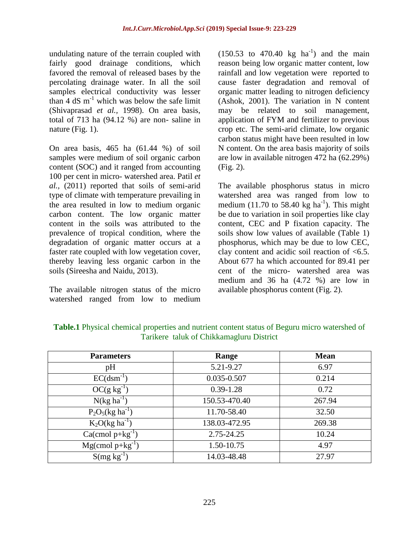undulating nature of the terrain coupled with fairly good drainage conditions, which favored the removal of released bases by the percolating drainage water. In all the soil samples electrical conductivity was lesser than  $4 \text{ dS m}^{-1}$  which was below the safe limit (Shivaprasad *et al.,* 1998). On area basis, total of 713 ha (94.12 %) are non- saline in nature (Fig. 1).

On area basis, 465 ha (61.44 %) of soil samples were medium of soil organic carbon content (SOC) and it ranged from accounting 100 per cent in micro- watershed area. Patil *et al.,* (2011) reported that soils of semi-arid type of climate with temperature prevailing in the area resulted in low to medium organic carbon content. The low organic matter content in the soils was attributed to the prevalence of tropical condition, where the degradation of organic matter occurs at a faster rate coupled with low vegetation cover, thereby leaving less organic carbon in the soils (Sireesha and Naidu, 2013).

The available nitrogen status of the micro watershed ranged from low to medium

 $(150.53 \text{ to } 470.40 \text{ kg } \text{ha}^{-1})$  and the main reason being low organic matter content, low rainfall and low vegetation were reported to cause faster degradation and removal of organic matter leading to nitrogen deficiency (Ashok, 2001). The variation in N content may be related to soil management, application of FYM and fertilizer to previous crop etc. The semi-arid climate, low organic carbon status might have been resulted in low N content. On the area basis majority of soils are low in available nitrogen 472 ha (62.29%) (Fig. 2).

The available phosphorus status in micro watershed area was ranged from low to medium (11.70 to 58.40  $\text{kg}$  ha<sup>-1</sup>). This might be due to variation in soil properties like clay content, CEC and P fixation capacity. The soils show low values of available (Table 1) phosphorus, which may be due to low CEC, clay content and acidic soil reaction of <6.5. About 677 ha which accounted for 89.41 per cent of the micro- watershed area was medium and 36 ha (4.72 %) are low in available phosphorus content (Fig. 2).

| <b>Parameters</b>         | Range         | <b>Mean</b> |
|---------------------------|---------------|-------------|
| pH                        | 5.21-9.27     | 6.97        |
| $EC(dsm^{-1})$            | 0.035-0.507   | 0.214       |
| $OC(g kg^{-1})$           | $0.39 - 1.28$ | 0.72        |
| $N(kg ha^{-1})$           | 150.53-470.40 | 267.94      |
| $P_2O_5(kg ha^{-1})$      | 11.70-58.40   | 32.50       |
| $K_2O(\text{kg ha}^{-1})$ | 138.03-472.95 | 269.38      |
| $Ca$ (cmol p+ $kg^{-1}$ ) | 2.75-24.25    | 10.24       |
| $Mg$ (cmol p+ $kg^{-1}$ ) | 1.50-10.75    | 4.97        |
| $S(mg kg^{-1})$           | 14.03-48.48   | 27.97       |

**Table.1** Physical chemical properties and nutrient content status of Beguru micro watershed of Tarikere taluk of Chikkamagluru District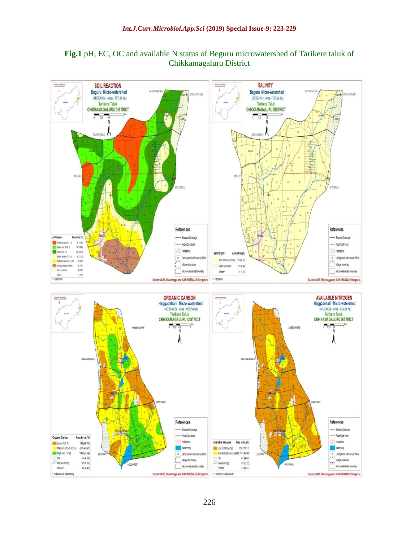

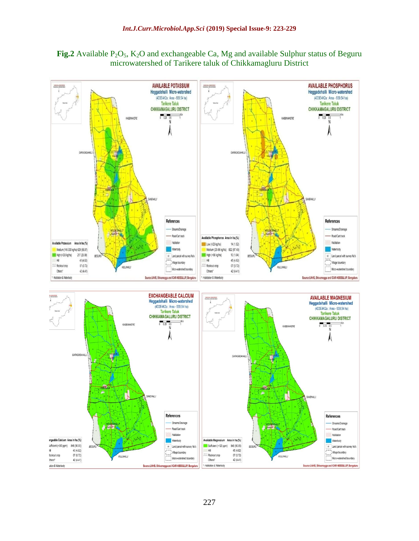Fig.2 Available P<sub>2</sub>O<sub>5</sub>, K<sub>2</sub>O and exchangeable Ca, Mg and available Sulphur status of Beguru microwatershed of Tarikere taluk of Chikkamagluru District

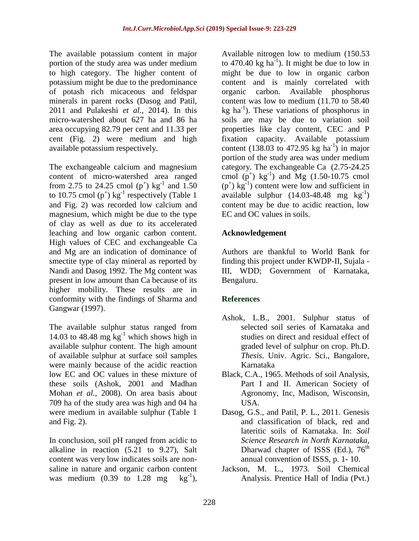The available potassium content in major portion of the study area was under medium to high category. The higher content of potassium might be due to the predominance of potash rich micaceous and feldspar minerals in parent rocks (Dasog and Patil, 2011 and Pulakeshi *et al.,* 2014). In this micro-watershed about 627 ha and 86 ha area occupying 82.79 per cent and 11.33 per cent (Fig. 2) were medium and high available potassium respectively.

The exchangeable calcium and magnesium content of micro-watershed area ranged from 2.75 to 24.25 cmol  $(p^+)$  kg<sup>-1</sup> and 1.50 to 10.75 cmol  $(p^+)$  kg<sup>-1</sup> respectively (Table 1 and Fig. 2) was recorded low calcium and magnesium, which might be due to the type of clay as well as due to its accelerated leaching and low organic carbon content. High values of CEC and exchangeable Ca and Mg are an indication of dominance of smectite type of clay mineral as reported by Nandi and Dasog 1992. The Mg content was present in low amount than Ca because of its higher mobility. These results are in conformity with the findings of Sharma and Gangwar (1997).

The available sulphur status ranged from 14.03 to 48.48 mg  $kg^{-1}$  which shows high in available sulphur content. The high amount of available sulphur at surface soil samples were mainly because of the acidic reaction low EC and OC values in these mixture of these soils (Ashok, 2001 and Madhan Mohan *et al.,* 2008). On area basis about 709 ha of the study area was high and 04 ha were medium in available sulphur (Table 1 and Fig. 2).

In conclusion, soil pH ranged from acidic to alkaline in reaction (5.21 to 9.27), Salt content was very low indicates soils are nonsaline in nature and organic carbon content was medium  $(0.39 \text{ to } 1.28 \text{ mg})$  $kg^{-1}$ ),

Available nitrogen low to medium (150.53 to 470.40 kg ha<sup>-1</sup>). It might be due to low in might be due to low in organic carbon content and is mainly correlated with organic carbon. Available phosphorus content was low to medium (11.70 to 58.40 kg  $ha^{-1}$ ). These variations of phosphorus in soils are may be due to variation soil properties like clay content, CEC and P fixation capacity. Available potassium content (138.03 to 472.95 kg ha<sup>-1</sup>) in major portion of the study area was under medium category. The exchangeable Ca (2.75-24.25 cmol  $(p^+)$  kg<sup>-1</sup>) and Mg (1.50-10.75 cmol  $(p^+)$  kg<sup>-1</sup>) content were low and sufficient in available sulphur  $(14.03-48.48 \text{ mg kg}^{-1})$ content may be due to acidic reaction, low EC and OC values in soils.

## **Acknowledgement**

Authors are thankful to World Bank for finding this project under KWDP-II, Sujala - III, WDD; Government of Karnataka, Bengaluru.

# **References**

- Ashok, L.B., 2001. Sulphur status of selected soil series of Karnataka and studies on direct and residual effect of graded level of sulphur on crop. Ph.D. *Thesis*. Univ. Agric. Sci., Bangalore, Karnataka
- Black, C.A., 1965. Methods of soil Analysis, Part I and II. American Society of Agronomy, Inc, Madison, Wisconsin, USA.
- Dasog, G.S., and Patil, P. L., 2011. Genesis and classification of black, red and lateritic soils of Karnataka. In: *Soil Science Research in North Karnataka*, Dharwad chapter of ISSS (Ed.),  $76<sup>th</sup>$ annual convention of ISSS, p. 1- 10.
- Jackson, M. L., 1973. Soil Chemical Analysis. Prentice Hall of India (Pvt.)